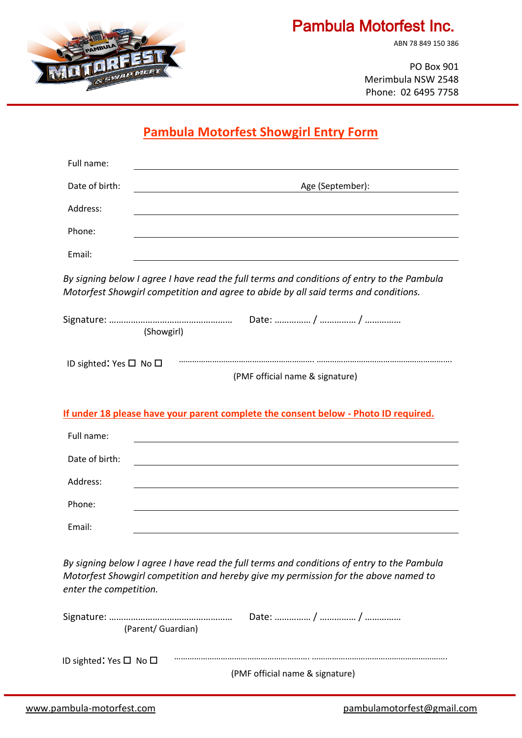

# Pambula Motorfest Inc.

ABN 78 849 150 386

PO Box 901 Merimbula NSW 2548 Phone: 02 6495 7758

## **Pambula Motorfest Showgirl Entry Form**

| Date of birth: | Age (September):                                                                                                                                                                  |
|----------------|-----------------------------------------------------------------------------------------------------------------------------------------------------------------------------------|
| Address:       |                                                                                                                                                                                   |
| Phone:         |                                                                                                                                                                                   |
| Email:         |                                                                                                                                                                                   |
|                | By signing below I agree I have read the full terms and conditions of entry to the Pambula<br>Motorfest Showgirl competition and agree to abide by all said terms and conditions. |

|                                  | (Showgirl)                                                                          |
|----------------------------------|-------------------------------------------------------------------------------------|
| ID sighted: Yes $\Box$ No $\Box$ | (PMF official name & signature)                                                     |
|                                  | If under 18 please have your parent complete the consent below - Photo ID required. |
| Full name:                       |                                                                                     |
| Date of birth:                   |                                                                                     |
| Address:                         |                                                                                     |
| Phone:                           |                                                                                     |
| Email:                           |                                                                                     |

*By signing below I agree I have read the full terms and conditions of entry to the Pambula Motorfest Showgirl competition and hereby give my permission for the above named to enter the competition.*

| (Parent/ Guardian)                     |                                 |
|----------------------------------------|---------------------------------|
| ID sighted: Yes $\square$ No $\square$ | (PMF official name & signature) |